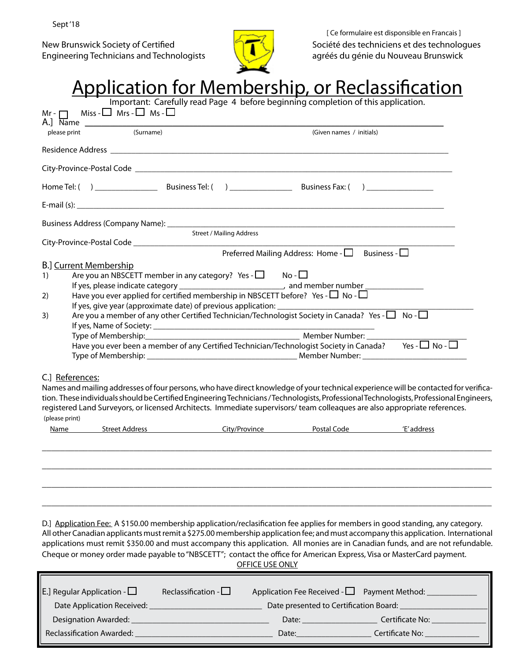Sept '18

Engineering Technicians and Technologists



New Brunswick Society of Certified Société des techniciens et des technologues<br>Société des techniciens et des technologues<br>Société des techniciens et des technologues [ Ce formulaire est disponsible en Francais ]

| Important: Carefully read Page 4 before beginning completion of this application.<br>Miss - $\Box$ Mrs - $\Box$ Ms - $\Box$<br>(Surname)<br>(Given names / initials)<br>please print<br><b>Street / Mailing Address</b><br>Preferred Mailing Address: Home - $\Box$ Business - $\Box$<br><b>B.</b> ] Current Membership<br>Are you an NBSCETT member in any category? Yes - $\Box$ No - $\Box$<br>If yes, please indicate category __________________________________, and member number _____________<br>Have you ever applied for certified membership in NBSCETT before? Yes - $\Box$ No - $\Box$<br>If yes, give year (approximate date) of previous application: $\Box$<br>Are you a member of any other Certified Technician/Technologist Society in Canada? Yes - $\Box$ No - $\Box$<br>_______________________________ Member Number: ____<br>Type of Membership:___________<br>Have you ever been a member of any Certified Technician/Technologist Society in Canada? Yes - $\Box$ No - $\Box$<br>C.] References:<br>Names and mailing addresses of four persons, who have direct knowledge of your technical experience will be contacted for verifica-<br>tion. These individuals should be Certified Engineering Technicians / Technologists, Professional Technologists, Professional Engineers,<br>registered Land Surveyors, or licensed Architects. Immediate supervisors/team colleaques are also appropriate references.<br>Name Street Address Street City/Province Postal Code 'E' address<br>D.] Application Fee: A \$150.00 membership application/reclasification fee applies for members in good standing, any category.<br>All other Canadian applicants must remit a \$275.00 membership application fee; and must accompany this application. International<br>applications must remit \$350.00 and must accompany this application. All monies are in Canadian funds, and are not refundable.<br>Cheque or money order made payable to "NBSCETT"; contact the office for American Express, Visa or MasterCard payment.<br><b>OFFICE USE ONLY</b> |                | <u>Application for Membership, or Reclassification</u> |  |                 |  |
|-------------------------------------------------------------------------------------------------------------------------------------------------------------------------------------------------------------------------------------------------------------------------------------------------------------------------------------------------------------------------------------------------------------------------------------------------------------------------------------------------------------------------------------------------------------------------------------------------------------------------------------------------------------------------------------------------------------------------------------------------------------------------------------------------------------------------------------------------------------------------------------------------------------------------------------------------------------------------------------------------------------------------------------------------------------------------------------------------------------------------------------------------------------------------------------------------------------------------------------------------------------------------------------------------------------------------------------------------------------------------------------------------------------------------------------------------------------------------------------------------------------------------------------------------------------------------------------------------------------------------------------------------------------------------------------------------------------------------------------------------------------------------------------------------------------------------------------------------------------------------------------------------------------------------------------------------------------------------------------------------------------------------------------------------------------------------------|----------------|--------------------------------------------------------|--|-----------------|--|
|                                                                                                                                                                                                                                                                                                                                                                                                                                                                                                                                                                                                                                                                                                                                                                                                                                                                                                                                                                                                                                                                                                                                                                                                                                                                                                                                                                                                                                                                                                                                                                                                                                                                                                                                                                                                                                                                                                                                                                                                                                                                               | $Mr - \Box$    |                                                        |  |                 |  |
|                                                                                                                                                                                                                                                                                                                                                                                                                                                                                                                                                                                                                                                                                                                                                                                                                                                                                                                                                                                                                                                                                                                                                                                                                                                                                                                                                                                                                                                                                                                                                                                                                                                                                                                                                                                                                                                                                                                                                                                                                                                                               |                |                                                        |  |                 |  |
|                                                                                                                                                                                                                                                                                                                                                                                                                                                                                                                                                                                                                                                                                                                                                                                                                                                                                                                                                                                                                                                                                                                                                                                                                                                                                                                                                                                                                                                                                                                                                                                                                                                                                                                                                                                                                                                                                                                                                                                                                                                                               |                |                                                        |  |                 |  |
|                                                                                                                                                                                                                                                                                                                                                                                                                                                                                                                                                                                                                                                                                                                                                                                                                                                                                                                                                                                                                                                                                                                                                                                                                                                                                                                                                                                                                                                                                                                                                                                                                                                                                                                                                                                                                                                                                                                                                                                                                                                                               |                |                                                        |  |                 |  |
|                                                                                                                                                                                                                                                                                                                                                                                                                                                                                                                                                                                                                                                                                                                                                                                                                                                                                                                                                                                                                                                                                                                                                                                                                                                                                                                                                                                                                                                                                                                                                                                                                                                                                                                                                                                                                                                                                                                                                                                                                                                                               |                |                                                        |  |                 |  |
|                                                                                                                                                                                                                                                                                                                                                                                                                                                                                                                                                                                                                                                                                                                                                                                                                                                                                                                                                                                                                                                                                                                                                                                                                                                                                                                                                                                                                                                                                                                                                                                                                                                                                                                                                                                                                                                                                                                                                                                                                                                                               |                |                                                        |  |                 |  |
|                                                                                                                                                                                                                                                                                                                                                                                                                                                                                                                                                                                                                                                                                                                                                                                                                                                                                                                                                                                                                                                                                                                                                                                                                                                                                                                                                                                                                                                                                                                                                                                                                                                                                                                                                                                                                                                                                                                                                                                                                                                                               |                |                                                        |  |                 |  |
|                                                                                                                                                                                                                                                                                                                                                                                                                                                                                                                                                                                                                                                                                                                                                                                                                                                                                                                                                                                                                                                                                                                                                                                                                                                                                                                                                                                                                                                                                                                                                                                                                                                                                                                                                                                                                                                                                                                                                                                                                                                                               |                |                                                        |  |                 |  |
|                                                                                                                                                                                                                                                                                                                                                                                                                                                                                                                                                                                                                                                                                                                                                                                                                                                                                                                                                                                                                                                                                                                                                                                                                                                                                                                                                                                                                                                                                                                                                                                                                                                                                                                                                                                                                                                                                                                                                                                                                                                                               |                |                                                        |  |                 |  |
|                                                                                                                                                                                                                                                                                                                                                                                                                                                                                                                                                                                                                                                                                                                                                                                                                                                                                                                                                                                                                                                                                                                                                                                                                                                                                                                                                                                                                                                                                                                                                                                                                                                                                                                                                                                                                                                                                                                                                                                                                                                                               | 1)             |                                                        |  |                 |  |
|                                                                                                                                                                                                                                                                                                                                                                                                                                                                                                                                                                                                                                                                                                                                                                                                                                                                                                                                                                                                                                                                                                                                                                                                                                                                                                                                                                                                                                                                                                                                                                                                                                                                                                                                                                                                                                                                                                                                                                                                                                                                               | 2)             |                                                        |  |                 |  |
|                                                                                                                                                                                                                                                                                                                                                                                                                                                                                                                                                                                                                                                                                                                                                                                                                                                                                                                                                                                                                                                                                                                                                                                                                                                                                                                                                                                                                                                                                                                                                                                                                                                                                                                                                                                                                                                                                                                                                                                                                                                                               | 3)             |                                                        |  |                 |  |
|                                                                                                                                                                                                                                                                                                                                                                                                                                                                                                                                                                                                                                                                                                                                                                                                                                                                                                                                                                                                                                                                                                                                                                                                                                                                                                                                                                                                                                                                                                                                                                                                                                                                                                                                                                                                                                                                                                                                                                                                                                                                               |                |                                                        |  |                 |  |
|                                                                                                                                                                                                                                                                                                                                                                                                                                                                                                                                                                                                                                                                                                                                                                                                                                                                                                                                                                                                                                                                                                                                                                                                                                                                                                                                                                                                                                                                                                                                                                                                                                                                                                                                                                                                                                                                                                                                                                                                                                                                               |                |                                                        |  |                 |  |
|                                                                                                                                                                                                                                                                                                                                                                                                                                                                                                                                                                                                                                                                                                                                                                                                                                                                                                                                                                                                                                                                                                                                                                                                                                                                                                                                                                                                                                                                                                                                                                                                                                                                                                                                                                                                                                                                                                                                                                                                                                                                               | (please print) |                                                        |  |                 |  |
|                                                                                                                                                                                                                                                                                                                                                                                                                                                                                                                                                                                                                                                                                                                                                                                                                                                                                                                                                                                                                                                                                                                                                                                                                                                                                                                                                                                                                                                                                                                                                                                                                                                                                                                                                                                                                                                                                                                                                                                                                                                                               |                |                                                        |  |                 |  |
|                                                                                                                                                                                                                                                                                                                                                                                                                                                                                                                                                                                                                                                                                                                                                                                                                                                                                                                                                                                                                                                                                                                                                                                                                                                                                                                                                                                                                                                                                                                                                                                                                                                                                                                                                                                                                                                                                                                                                                                                                                                                               |                |                                                        |  |                 |  |
|                                                                                                                                                                                                                                                                                                                                                                                                                                                                                                                                                                                                                                                                                                                                                                                                                                                                                                                                                                                                                                                                                                                                                                                                                                                                                                                                                                                                                                                                                                                                                                                                                                                                                                                                                                                                                                                                                                                                                                                                                                                                               |                |                                                        |  |                 |  |
| Application Fee Received - $\Box$<br>E.] Regular Application - $\Box$<br>Date presented to Certification Board:<br>Date Application Received:                                                                                                                                                                                                                                                                                                                                                                                                                                                                                                                                                                                                                                                                                                                                                                                                                                                                                                                                                                                                                                                                                                                                                                                                                                                                                                                                                                                                                                                                                                                                                                                                                                                                                                                                                                                                                                                                                                                                 |                | Reclassification - $\square$                           |  | Payment Method: |  |

 Designation Awarded: \_\_\_\_\_\_\_\_\_\_\_\_\_\_\_\_\_\_\_\_\_\_\_\_\_\_\_\_\_\_\_\_\_ Date: \_\_\_\_\_\_\_\_\_\_\_\_\_\_\_\_\_\_ Certificate No: \_\_\_\_\_\_\_\_\_\_\_\_\_ Reclassification Awarded: \_\_\_\_\_\_\_\_\_\_\_\_\_\_\_\_\_\_\_\_\_\_\_\_\_\_\_\_\_\_\_\_\_ Date:\_\_\_\_\_\_\_\_\_\_\_\_\_\_\_\_\_\_ Certificate No: \_\_\_\_\_\_\_\_\_\_\_\_\_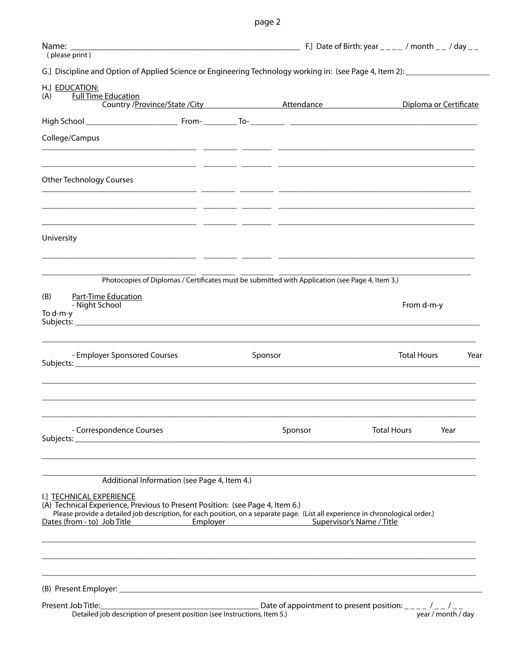page 2

| (please print)                                                                                                                                                                                                                                                                                                                                       |                                                                      |                           |                        |  |  |
|------------------------------------------------------------------------------------------------------------------------------------------------------------------------------------------------------------------------------------------------------------------------------------------------------------------------------------------------------|----------------------------------------------------------------------|---------------------------|------------------------|--|--|
| G.] Discipline and Option of Applied Science or Engineering Technology working in: (see Page 4, Item 2): _____________________________                                                                                                                                                                                                               |                                                                      |                           |                        |  |  |
| H.] EDUCATION:<br><b>Full Time Education</b><br>(A)<br>Country / Province/State / City Attendance Attendance                                                                                                                                                                                                                                         |                                                                      |                           | Diploma or Certificate |  |  |
|                                                                                                                                                                                                                                                                                                                                                      |                                                                      |                           |                        |  |  |
| College/Campus                                                                                                                                                                                                                                                                                                                                       |                                                                      |                           |                        |  |  |
| <b>Other Technology Courses</b>                                                                                                                                                                                                                                                                                                                      |                                                                      |                           |                        |  |  |
| University                                                                                                                                                                                                                                                                                                                                           |                                                                      |                           |                        |  |  |
| Photocopies of Diplomas / Certificates must be submitted with Application (see Page 4, Item 3.)                                                                                                                                                                                                                                                      |                                                                      |                           |                        |  |  |
| <b>Part-Time Education</b><br>(B)<br>- Night School<br>To d-m-y                                                                                                                                                                                                                                                                                      |                                                                      |                           | From d-m-y             |  |  |
| - Employer Sponsored Courses                                                                                                                                                                                                                                                                                                                         | Sponsor                                                              | <b>Total Hours</b>        | Year                   |  |  |
| - Correspondence Courses                                                                                                                                                                                                                                                                                                                             | Sponsor                                                              | <b>Total Hours</b>        | Year                   |  |  |
| Additional Information (see Page 4, Item 4.)<br>I.] TECHNICAL EXPERIENCE<br>(A) Technical Experience, Previous to Present Position: (see Page 4, Item 6.)<br>Please provide a detailed job description, for each position, on a separate page. (List all experience in chronological order.)<br>Dates (from - to) Job Title <b>Employer</b> Employer |                                                                      | Supervisor's Name / Title |                        |  |  |
|                                                                                                                                                                                                                                                                                                                                                      |                                                                      |                           |                        |  |  |
| Present Job Title:<br>Detailed job description of present position (see Instructions, Item 5.)                                                                                                                                                                                                                                                       | $\_$ Date of appointment to present position: $\_\_\_$ / $\_$ / $\_$ |                           | year / month / day     |  |  |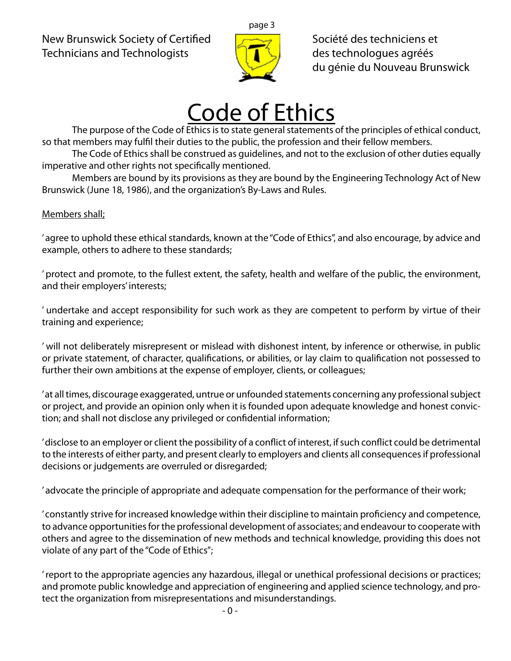New Brunswick Society of Certified  $\sqrt{S}$ Technicians and Technologists  $\left[\begin{array}{cc} \bullet & \bullet \\ \bullet & \bullet \end{array}\right]$  des technologues agréés



du génie du Nouveau Brunswick

# Code of Ethics

The purpose of the Code of Ethics is to state general statements of the principles of ethical conduct, so that members may fulfil their duties to the public, the profession and their fellow members.

The Code of Ethics shall be construed as guidelines, and not to the exclusion of other duties equally imperative and other rights not specifically mentioned.

Members are bound by its provisions as they are bound by the Engineering Technology Act of New Brunswick (June 18, 1986), and the organization's By-Laws and Rules.

# Members shall;

' agree to uphold these ethical standards, known at the "Code of Ethics", and also encourage, by advice and example, others to adhere to these standards;

' protect and promote, to the fullest extent, the safety, health and welfare of the public, the environment, and their employers' interests;

' undertake and accept responsibility for such work as they are competent to perform by virtue of their training and experience;

' will not deliberately misrepresent or mislead with dishonest intent, by inference or otherwise, in public or private statement, of character, qualifications, or abilities, or lay claim to qualification not possessed to further their own ambitions at the expense of employer, clients, or colleagues;

' at all times, discourage exaggerated, untrue or unfounded statements concerning any professional subject or project, and provide an opinion only when it is founded upon adequate knowledge and honest conviction; and shall not disclose any privileged or confidential information;

' disclose to an employer or client the possibility of a conflict of interest, if such conflict could be detrimental to the interests of either party, and present clearly to employers and clients all consequences if professional decisions or judgements are overruled or disregarded;

' advocate the principle of appropriate and adequate compensation for the performance of their work;

' constantly strive for increased knowledge within their discipline to maintain proficiency and competence, to advance opportunities for the professional development of associates; and endeavour to cooperate with others and agree to the dissemination of new methods and technical knowledge, providing this does not violate of any part of the "Code of Ethics";

' report to the appropriate agencies any hazardous, illegal or unethical professional decisions or practices; and promote public knowledge and appreciation of engineering and applied science technology, and protect the organization from misrepresentations and misunderstandings.